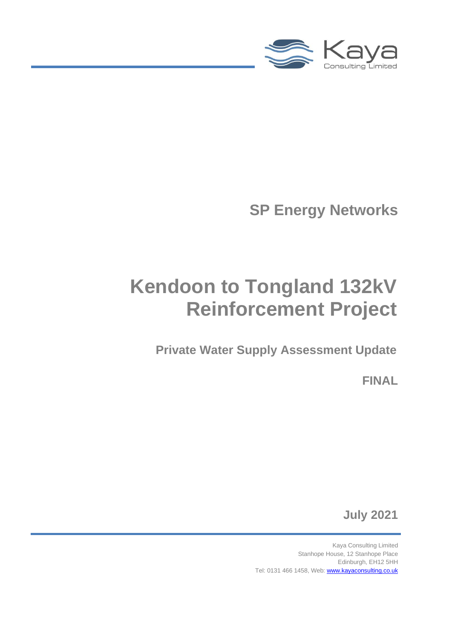

**SP Energy Networks**

# **Kendoon to Tongland 132kV Reinforcement Project**

**Private Water Supply Assessment Update**

**FINAL**

**July 2021**

Kaya Consulting Limited Stanhope House, 12 Stanhope Place Edinburgh, EH12 5HH Tel: 0131 466 1458, Web[: www.kayaconsulting.co.uk](http://www.kayaconsulting.co.uk/)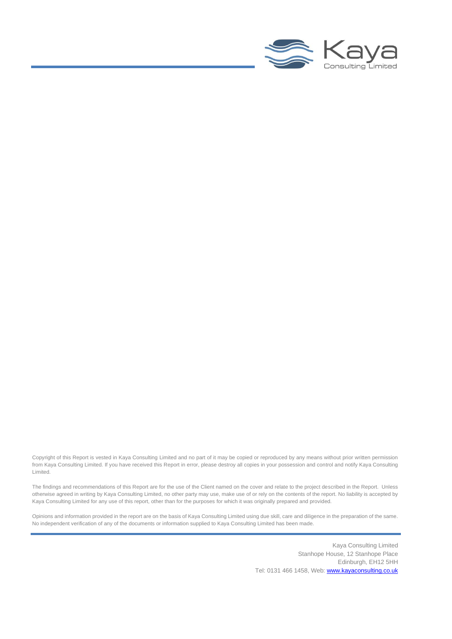

Copyright of this Report is vested in Kaya Consulting Limited and no part of it may be copied or reproduced by any means without prior written permission from Kaya Consulting Limited. If you have received this Report in error, please destroy all copies in your possession and control and notify Kaya Consulting Limited.

The findings and recommendations of this Report are for the use of the Client named on the cover and relate to the project described in the Report. Unless otherwise agreed in writing by Kaya Consulting Limited, no other party may use, make use of or rely on the contents of the report. No liability is accepted by Kaya Consulting Limited for any use of this report, other than for the purposes for which it was originally prepared and provided.

Opinions and information provided in the report are on the basis of Kaya Consulting Limited using due skill, care and diligence in the preparation of the same. No independent verification of any of the documents or information supplied to Kaya Consulting Limited has been made.

> Kaya Consulting Limited Stanhope House, 12 Stanhope Place Edinburgh, EH12 5HH Tel: 0131 466 1458, Web[: www.kayaconsulting.co.uk](http://www.kayaconsulting.co.uk/)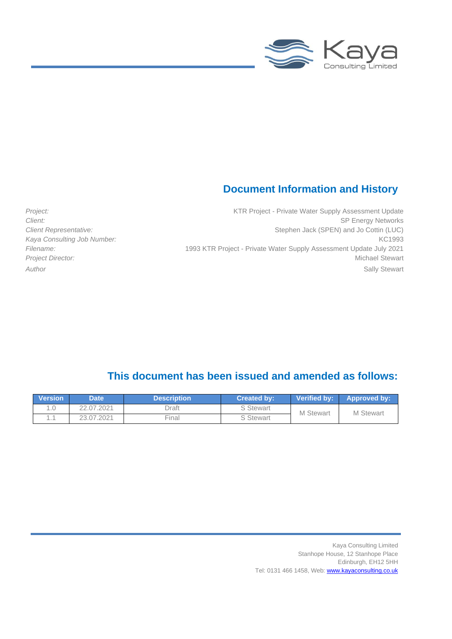

### **Document Information and History**

Project: Project - Private Water Supply Assessment Update **Client:** SP Energy Networks **Client Representative:** Stephen Jack (SPEN) and Jo Cottin (LUC) Kaya Consulting Job Number: **KC1993** *Filename:* 1993 KTR Project - Private Water Supply Assessment Update July 2021 **Project Director:** Michael Stewart **Michael Stewart** *Author* Sally Stewart

### **This document has been issued and amended as follows:**

| <b>Version</b> | Date '     | <b>Description</b> | Created by: | <b>Verified by:</b> | <b>Approved by:</b> |  |
|----------------|------------|--------------------|-------------|---------------------|---------------------|--|
|                | 22.07.2021 | Draft              | S Stewart   | <b>M</b> Stewart    | <b>M</b> Stewart    |  |
|                | 23.07.2021 | Final              | S Stewart   |                     |                     |  |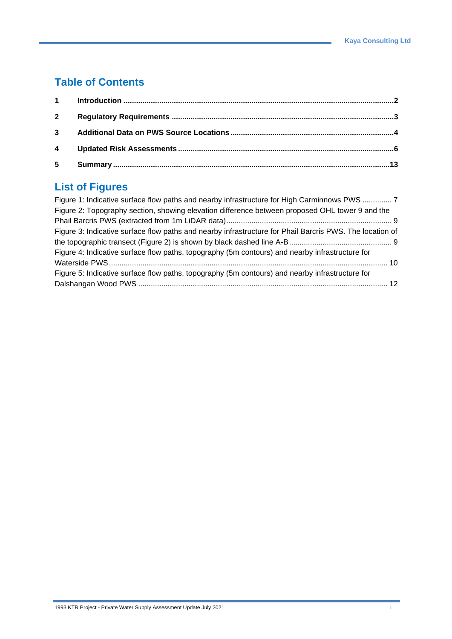### **Table of Contents**

| $5 -$ |  |
|-------|--|

### **List of Figures**

| Figure 1: Indicative surface flow paths and nearby infrastructure for High Carminnows PWS  7             |  |
|----------------------------------------------------------------------------------------------------------|--|
| Figure 2: Topography section, showing elevation difference between proposed OHL tower 9 and the          |  |
|                                                                                                          |  |
| Figure 3: Indicative surface flow paths and nearby infrastructure for Phail Barcris PWS. The location of |  |
|                                                                                                          |  |
| Figure 4: Indicative surface flow paths, topography (5m contours) and nearby infrastructure for          |  |
|                                                                                                          |  |
| Figure 5: Indicative surface flow paths, topography (5m contours) and nearby infrastructure for          |  |
|                                                                                                          |  |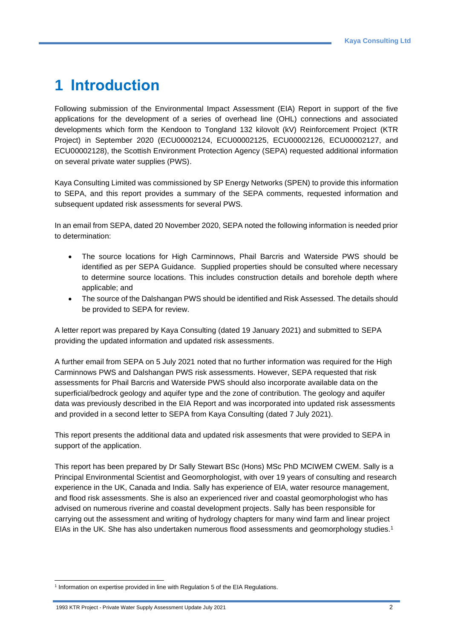# **1 Introduction**

Following submission of the Environmental Impact Assessment (EIA) Report in support of the five applications for the development of a series of overhead line (OHL) connections and associated developments which form the Kendoon to Tongland 132 kilovolt (kV) Reinforcement Project (KTR Project) in September 2020 (ECU00002124, ECU00002125, ECU00002126, ECU00002127, and ECU00002128), the Scottish Environment Protection Agency (SEPA) requested additional information on several private water supplies (PWS).

Kaya Consulting Limited was commissioned by SP Energy Networks (SPEN) to provide this information to SEPA, and this report provides a summary of the SEPA comments, requested information and subsequent updated risk assessments for several PWS.

In an email from SEPA, dated 20 November 2020, SEPA noted the following information is needed prior to determination:

- The source locations for High Carminnows, Phail Barcris and Waterside PWS should be identified as per SEPA Guidance. Supplied properties should be consulted where necessary to determine source locations. This includes construction details and borehole depth where applicable; and
- The source of the Dalshangan PWS should be identified and Risk Assessed. The details should be provided to SEPA for review.

A letter report was prepared by Kaya Consulting (dated 19 January 2021) and submitted to SEPA providing the updated information and updated risk assessments.

A further email from SEPA on 5 July 2021 noted that no further information was required for the High Carminnows PWS and Dalshangan PWS risk assessments. However, SEPA requested that risk assessments for Phail Barcris and Waterside PWS should also incorporate available data on the superficial/bedrock geology and aquifer type and the zone of contribution. The geology and aquifer data was previously described in the EIA Report and was incorporated into updated risk assessments and provided in a second letter to SEPA from Kaya Consulting (dated 7 July 2021).

This report presents the additional data and updated risk assesments that were provided to SEPA in support of the application.

This report has been prepared by Dr Sally Stewart BSc (Hons) MSc PhD MCIWEM CWEM. Sally is a Principal Environmental Scientist and Geomorphologist, with over 19 years of consulting and research experience in the UK, Canada and India. Sally has experience of EIA, water resource management, and flood risk assessments. She is also an experienced river and coastal geomorphologist who has advised on numerous riverine and coastal development projects. Sally has been responsible for carrying out the assessment and writing of hydrology chapters for many wind farm and linear project EIAs in the UK. She has also undertaken numerous flood assessments and geomorphology studies.<sup>1</sup>

1993 KTR Project - Private Water Supply Assessment Update July 2021 2

<sup>&</sup>lt;sup>1</sup> Information on expertise provided in line with Regulation 5 of the EIA Regulations.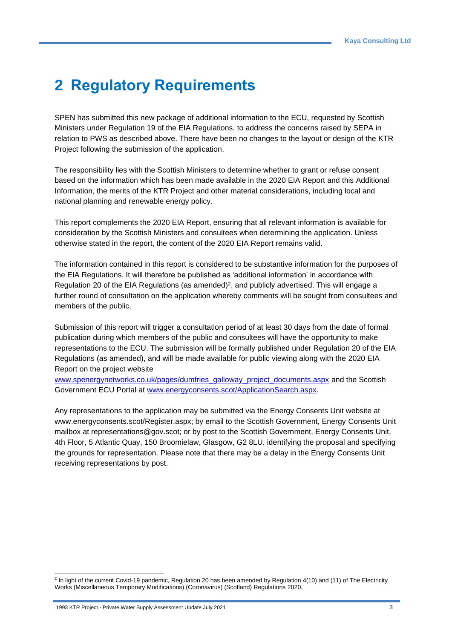# **2 Regulatory Requirements**

SPEN has submitted this new package of additional information to the ECU, requested by Scottish Ministers under Regulation 19 of the EIA Regulations, to address the concerns raised by SEPA in relation to PWS as described above. There have been no changes to the layout or design of the KTR Project following the submission of the application.

The responsibility lies with the Scottish Ministers to determine whether to grant or refuse consent based on the information which has been made available in the 2020 EIA Report and this Additional Information, the merits of the KTR Project and other material considerations, including local and national planning and renewable energy policy.

This report complements the 2020 EIA Report, ensuring that all relevant information is available for consideration by the Scottish Ministers and consultees when determining the application. Unless otherwise stated in the report, the content of the 2020 EIA Report remains valid.

The information contained in this report is considered to be substantive information for the purposes of the EIA Regulations. It will therefore be published as 'additional information' in accordance with Regulation 20 of the EIA Regulations (as amended)<sup>2</sup>, and publicly advertised. This will engage a further round of consultation on the application whereby comments will be sought from consultees and members of the public.

Submission of this report will trigger a consultation period of at least 30 days from the date of formal publication during which members of the public and consultees will have the opportunity to make representations to the ECU. The submission will be formally published under Regulation 20 of the EIA Regulations (as amended), and will be made available for public viewing along with the 2020 EIA Report on the project website

[www.spenergynetworks.co.uk/pages/dumfries\\_galloway\\_project\\_documents.aspx](https://www.spenergynetworks.co.uk/pages/dumfries_galloway_project_documents.aspx) and the Scottish Government ECU Portal at [www.energyconsents.scot/ApplicationSearch.aspx.](http://www.energyconsents.scot/ApplicationSearch.aspx)

Any representations to the application may be submitted via the Energy Consents Unit website at www.energyconsents.scot/Register.aspx; by email to the Scottish Government, Energy Consents Unit mailbox at representations@gov.scot; or by post to the Scottish Government, Energy Consents Unit, 4th Floor, 5 Atlantic Quay, 150 Broomielaw, Glasgow, G2 8LU, identifying the proposal and specifying the grounds for representation. Please note that there may be a delay in the Energy Consents Unit receiving representations by post.

<sup>&</sup>lt;sup>2</sup> In light of the current Covid-19 pandemic, Regulation 20 has been amended by Regulation 4(10) and (11) of The Electricity Works (Miscellaneous Temporary Modifications) (Coronavirus) (Scotland) Regulations 2020.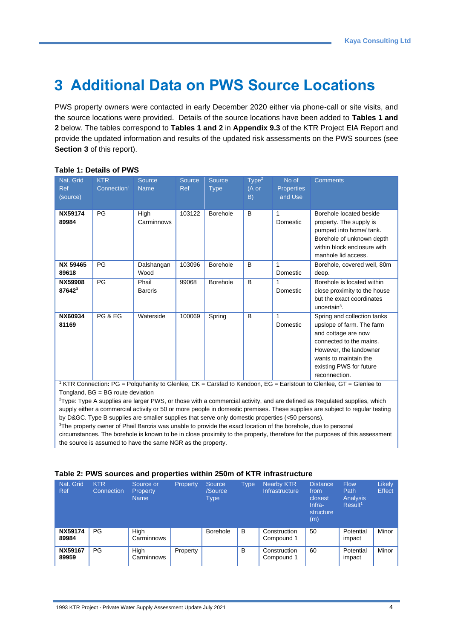# **3 Additional Data on PWS Source Locations**

PWS property owners were contacted in early December 2020 either via phone-call or site visits, and the source locations were provided. Details of the source locations have been added to **Tables 1 and 2** below. The tables correspond to **Tables 1 and 2** in **Appendix 9.3** of the KTR Project EIA Report and provide the updated information and results of the updated risk assessments on the PWS sources (see **Section 3** of this report).

| Nat. Grid<br><b>Ref</b><br>(source)                                                                                                                                  | <b>KTR</b><br>Connection <sup>1</sup> | Source<br><b>Name</b>   | Source<br>Ref | <b>Source</b><br><b>Type</b> | Type <sup>2</sup><br>$(A \text{ or }$<br>B) | No of<br><b>Properties</b><br>and Use | <b>Comments</b>                                                                                                                                                                                           |  |  |
|----------------------------------------------------------------------------------------------------------------------------------------------------------------------|---------------------------------------|-------------------------|---------------|------------------------------|---------------------------------------------|---------------------------------------|-----------------------------------------------------------------------------------------------------------------------------------------------------------------------------------------------------------|--|--|
| <b>NX59174</b><br>89984                                                                                                                                              | PG                                    | High<br>Carminnows      | 103122        | <b>Borehole</b>              | B                                           | 1<br>Domestic                         | Borehole located beside<br>property. The supply is<br>pumped into home/ tank.<br>Borehole of unknown depth<br>within block enclosure with<br>manhole lid access.                                          |  |  |
| NX 59465<br>89618                                                                                                                                                    | PG                                    | Dalshangan<br>Wood      | 103096        | <b>Borehole</b>              | B                                           | 1<br>Domestic                         | Borehole, covered well, 80m<br>deep.                                                                                                                                                                      |  |  |
| NX59908<br>876423                                                                                                                                                    | PG                                    | Phail<br><b>Barcris</b> | 99068         | <b>Borehole</b>              | B                                           | 1<br>Domestic                         | Borehole is located within<br>close proximity to the house<br>but the exact coordinates<br>uncertain $3$ .                                                                                                |  |  |
| NX60934<br>81169                                                                                                                                                     | PG & EG                               | Waterside               | 100069        | Spring                       | B                                           | 1<br>Domestic                         | Spring and collection tanks<br>upslope of farm. The farm<br>and cottage are now<br>connected to the mains.<br>However, the landowner<br>wants to maintain the<br>existing PWS for future<br>reconnection. |  |  |
| <sup>1</sup> KTR Connection: PG = Polguhanity to Glenlee, CK = Carsfad to Kendoon, EG = Earlstoun to Glenlee, GT = Glenlee to<br>Tongland, $BG = BG$ route deviation |                                       |                         |               |                              |                                             |                                       |                                                                                                                                                                                                           |  |  |

#### **Table 1: Details of PWS**

<sup>2</sup>Type: Type A supplies are larger PWS, or those with a commercial activity, and are defined as Regulated supplies, which supply either a commercial activity or 50 or more people in domestic premises. These supplies are subject to regular testing by D&GC. Type B supplies are smaller supplies that serve only domestic properties (<50 persons).

<sup>3</sup>The property owner of Phail Barcris was unable to provide the exact location of the borehole, due to personal circumstances. The borehole is known to be in close proximity to the property, therefore for the purposes of this assessment the source is assumed to have the same NGR as the property.

| Nat. Grid<br><b>Ref</b> | <b>KTR</b><br>Connection | Source or<br>Property<br><b>Name</b> | Property | 'Source<br>/Source<br>Type | Type | <b>Nearby KTR</b><br>Infrastructure | <b>Distance</b><br>from<br>closest<br>Infra-<br>structure<br>(m) | <b>Flow</b><br>Path<br>Analysis<br>Result <sup>1</sup> | <b>Likely</b><br><b>Effect</b> |
|-------------------------|--------------------------|--------------------------------------|----------|----------------------------|------|-------------------------------------|------------------------------------------------------------------|--------------------------------------------------------|--------------------------------|
| <b>NX59174</b><br>89984 | PG                       | High<br>Carminnows                   |          | Borehole                   | B    | Construction<br>Compound 1          | 50                                                               | Potential<br>impact                                    | Minor                          |
| <b>NX59167</b><br>89959 | PG                       | High<br>Carminnows                   | Property |                            | B    | Construction<br>Compound 1          | 60                                                               | Potential<br>impact                                    | Minor                          |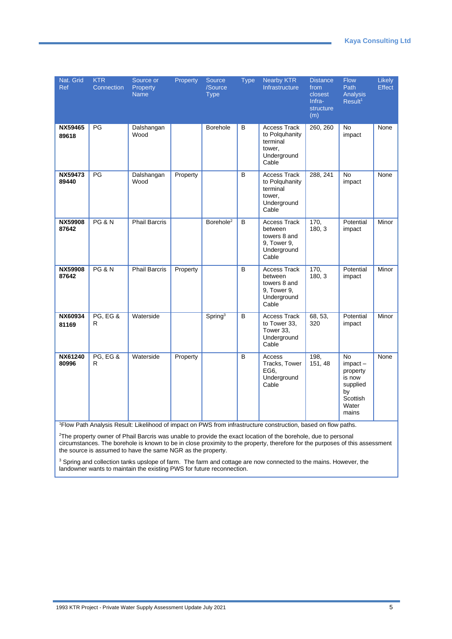| Nat. Grid<br><b>Ref</b> | <b>KTR</b><br>Connection | Source or<br>Property<br><b>Name</b> | Property | Source<br>/Source<br><b>Type</b> | <b>Type</b>    | <b>Nearby KTR</b><br>Infrastructure                                                   | <b>Distance</b><br>from<br>closest<br>Infra-<br>structure<br>(m) | <b>Flow</b><br>Path<br>Analysis<br>Result <sup>1</sup>                                           | Likely<br>Effect |
|-------------------------|--------------------------|--------------------------------------|----------|----------------------------------|----------------|---------------------------------------------------------------------------------------|------------------------------------------------------------------|--------------------------------------------------------------------------------------------------|------------------|
| NX59465<br>89618        | PG                       | Dalshangan<br>Wood                   |          | Borehole                         | B              | <b>Access Track</b><br>to Polquhanity<br>terminal<br>tower,<br>Underground<br>Cable   | 260, 260                                                         | No<br>impact                                                                                     | None             |
| NX59473<br>89440        | PG                       | Dalshangan<br>Wood                   | Property |                                  | B              | <b>Access Track</b><br>to Polquhanity<br>terminal<br>tower,<br>Underground<br>Cable   | 288, 241                                                         | <b>No</b><br>impact                                                                              | None             |
| NX59908<br>87642        | <b>PG &amp; N</b>        | <b>Phail Barcris</b>                 |          | Borehole <sup>2</sup>            | <sub>B</sub>   | <b>Access Track</b><br>between<br>towers 8 and<br>9, Tower 9,<br>Underground<br>Cable | 170,<br>180, 3                                                   | Potential<br>impact                                                                              | Minor            |
| NX59908<br>87642        | <b>PG &amp; N</b>        | <b>Phail Barcris</b>                 | Property |                                  | B              | Access Track<br>between<br>towers 8 and<br>9, Tower 9,<br>Underground<br>Cable        | 170,<br>180, 3                                                   | Potential<br>impact                                                                              | Minor            |
| NX60934<br>81169        | PG, EG &<br>R            | Waterside                            |          | Spring <sup>3</sup>              | B              | Access Track<br>to Tower 33,<br>Tower 33,<br>Underground<br>Cable                     | 68, 53,<br>320                                                   | Potential<br>impact                                                                              | Minor            |
| <b>NX61240</b><br>80996 | <b>PG, EG &amp;</b><br>R | Waterside                            | Property |                                  | $\overline{B}$ | Access<br>Tracks, Tower<br>EG6,<br>Underground<br>Cable                               | 198,<br>151, 48                                                  | <b>No</b><br>$im$ pact $-$<br>property<br>is now<br>supplied<br>bv<br>Scottish<br>Water<br>mains | None             |

<sup>1</sup>Flow Path Analysis Result: Likelihood of impact on PWS from infrastructure construction, based on flow paths.

<sup>2</sup>The property owner of Phail Barcris was unable to provide the exact location of the borehole, due to personal circumstances. The borehole is known to be in close proximity to the property, therefore for the purposes of this assessment the source is assumed to have the same NGR as the property.

<sup>3</sup> Spring and collection tanks upslope of farm. The farm and cottage are now connected to the mains. However, the landowner wants to maintain the existing PWS for future reconnection.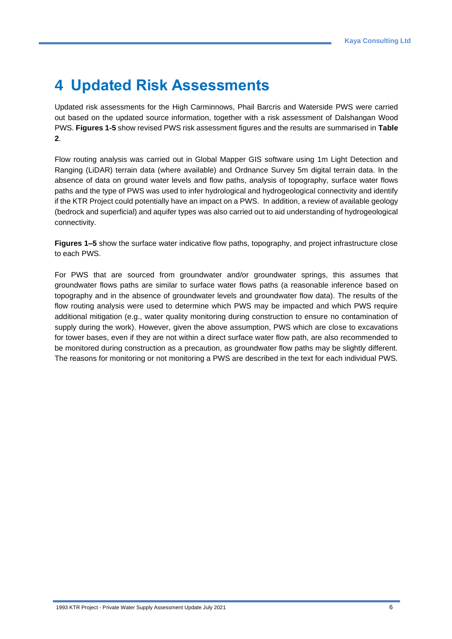# **4 Updated Risk Assessments**

Updated risk assessments for the High Carminnows, Phail Barcris and Waterside PWS were carried out based on the updated source information, together with a risk assessment of Dalshangan Wood PWS. **Figures 1-5** show revised PWS risk assessment figures and the results are summarised in **Table 2**.

Flow routing analysis was carried out in Global Mapper GIS software using 1m Light Detection and Ranging (LiDAR) terrain data (where available) and Ordnance Survey 5m digital terrain data. In the absence of data on ground water levels and flow paths, analysis of topography, surface water flows paths and the type of PWS was used to infer hydrological and hydrogeological connectivity and identify if the KTR Project could potentially have an impact on a PWS. In addition, a review of available geology (bedrock and superficial) and aquifer types was also carried out to aid understanding of hydrogeological connectivity.

**Figures 1–5** show the surface water indicative flow paths, topography, and project infrastructure close to each PWS.

For PWS that are sourced from groundwater and/or groundwater springs, this assumes that groundwater flows paths are similar to surface water flows paths (a reasonable inference based on topography and in the absence of groundwater levels and groundwater flow data). The results of the flow routing analysis were used to determine which PWS may be impacted and which PWS require additional mitigation (e.g., water quality monitoring during construction to ensure no contamination of supply during the work). However, given the above assumption, PWS which are close to excavations for tower bases, even if they are not within a direct surface water flow path, are also recommended to be monitored during construction as a precaution, as groundwater flow paths may be slightly different. The reasons for monitoring or not monitoring a PWS are described in the text for each individual PWS.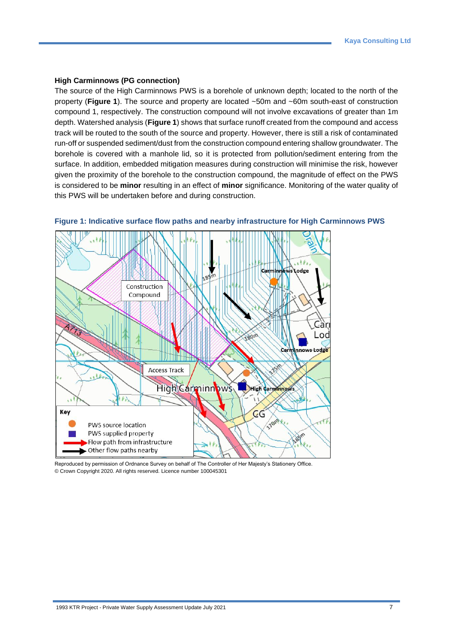#### **High Carminnows (PG connection)**

The source of the High Carminnows PWS is a borehole of unknown depth; located to the north of the property (**Figure 1**). The source and property are located ~50m and ~60m south-east of construction compound 1, respectively. The construction compound will not involve excavations of greater than 1m depth. Watershed analysis (**Figure 1**) shows that surface runoff created from the compound and access track will be routed to the south of the source and property. However, there is still a risk of contaminated run-off or suspended sediment/dust from the construction compound entering shallow groundwater. The borehole is covered with a manhole lid, so it is protected from pollution/sediment entering from the surface. In addition, embedded mitigation measures during construction will minimise the risk, however given the proximity of the borehole to the construction compound, the magnitude of effect on the PWS is considered to be **minor** resulting in an effect of **minor** significance. Monitoring of the water quality of this PWS will be undertaken before and during construction.



<span id="page-9-0"></span>

Reproduced by permission of Ordnance Survey on behalf of The Controller of Her Majesty's Stationery Office. © Crown Copyright 2020. All rights reserved. Licence number 100045301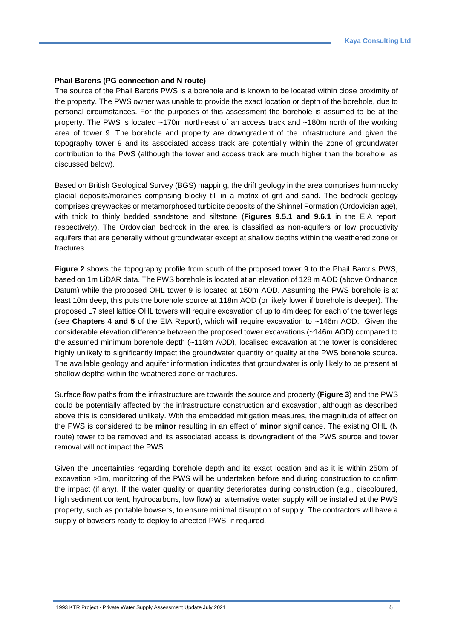#### **Phail Barcris (PG connection and N route)**

The source of the Phail Barcris PWS is a borehole and is known to be located within close proximity of the property. The PWS owner was unable to provide the exact location or depth of the borehole, due to personal circumstances. For the purposes of this assessment the borehole is assumed to be at the property. The PWS is located ~170m north-east of an access track and ~180m north of the working area of tower 9. The borehole and property are downgradient of the infrastructure and given the topography tower 9 and its associated access track are potentially within the zone of groundwater contribution to the PWS (although the tower and access track are much higher than the borehole, as discussed below).

Based on British Geological Survey (BGS) mapping, the drift geology in the area comprises hummocky glacial deposits/moraines comprising blocky till in a matrix of grit and sand. The bedrock geology comprises greywackes or metamorphosed turbidite deposits of the Shinnel Formation (Ordovician age), with thick to thinly bedded sandstone and siltstone (**Figures 9.5.1 and 9.6.1** in the EIA report, respectively). The Ordovician bedrock in the area is classified as non-aquifers or low productivity aquifers that are generally without groundwater except at shallow depths within the weathered zone or fractures.

**Figure 2** shows the topography profile from south of the proposed tower 9 to the Phail Barcris PWS, based on 1m LiDAR data. The PWS borehole is located at an elevation of 128 m AOD (above Ordnance Datum) while the proposed OHL tower 9 is located at 150m AOD. Assuming the PWS borehole is at least 10m deep, this puts the borehole source at 118m AOD (or likely lower if borehole is deeper). The proposed L7 steel lattice OHL towers will require excavation of up to 4m deep for each of the tower legs (see **Chapters 4 and 5** of the EIA Report), which will require excavation to ~146m AOD. Given the considerable elevation difference between the proposed tower excavations (~146m AOD) compared to the assumed minimum borehole depth (~118m AOD), localised excavation at the tower is considered highly unlikely to significantly impact the groundwater quantity or quality at the PWS borehole source. The available geology and aquifer information indicates that groundwater is only likely to be present at shallow depths within the weathered zone or fractures.

Surface flow paths from the infrastructure are towards the source and property (**Figure 3**) and the PWS could be potentially affected by the infrastructure construction and excavation, although as described above this is considered unlikely. With the embedded mitigation measures, the magnitude of effect on the PWS is considered to be **minor** resulting in an effect of **minor** significance. The existing OHL (N route) tower to be removed and its associated access is downgradient of the PWS source and tower removal will not impact the PWS.

Given the uncertainties regarding borehole depth and its exact location and as it is within 250m of excavation >1m, monitoring of the PWS will be undertaken before and during construction to confirm the impact (if any). If the water quality or quantity deteriorates during construction (e.g., discoloured, high sediment content, hydrocarbons, low flow) an alternative water supply will be installed at the PWS property, such as portable bowsers, to ensure minimal disruption of supply. The contractors will have a supply of bowsers ready to deploy to affected PWS, if required.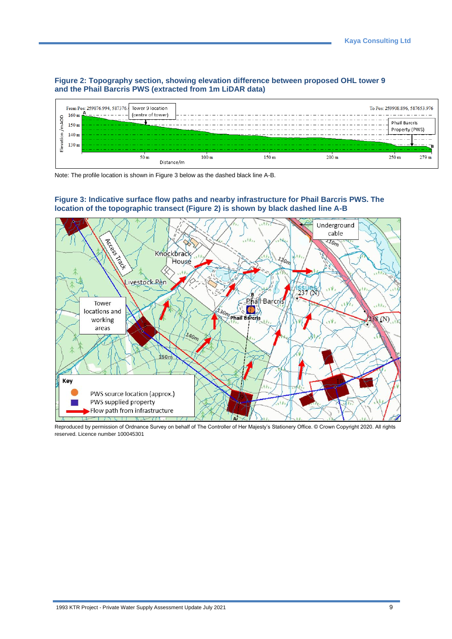#### <span id="page-11-0"></span>**Figure 2: Topography section, showing elevation difference between proposed OHL tower 9 and the Phail Barcris PWS (extracted from 1m LiDAR data)**



Note: The profile location is shown in Figure 3 below as the dashed black line A-B.

#### <span id="page-11-1"></span>**Figure 3: Indicative surface flow paths and nearby infrastructure for Phail Barcris PWS. The location of the topographic transect (Figure 2) is shown by black dashed line A-B**



Reproduced by permission of Ordnance Survey on behalf of The Controller of Her Majesty's Stationery Office. © Crown Copyright 2020. All rights reserved. Licence number 100045301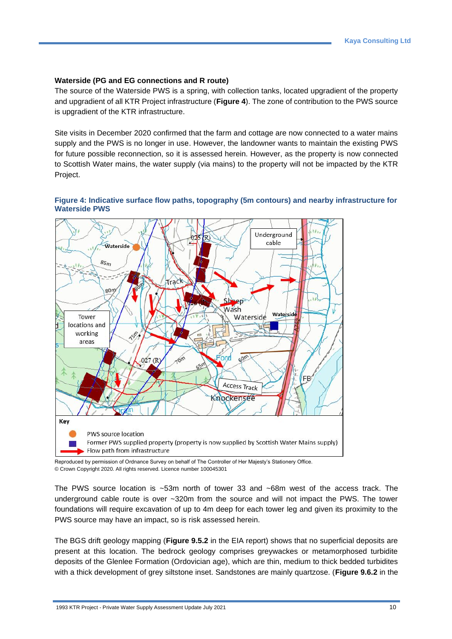#### **Waterside (PG and EG connections and R route)**

The source of the Waterside PWS is a spring, with collection tanks, located upgradient of the property and upgradient of all KTR Project infrastructure (**Figure 4**). The zone of contribution to the PWS source is upgradient of the KTR infrastructure.

Site visits in December 2020 confirmed that the farm and cottage are now connected to a water mains supply and the PWS is no longer in use. However, the landowner wants to maintain the existing PWS for future possible reconnection, so it is assessed herein. However, as the property is now connected to Scottish Water mains, the water supply (via mains) to the property will not be impacted by the KTR Project.

#### <span id="page-12-0"></span>**Figure 4: Indicative surface flow paths, topography (5m contours) and nearby infrastructure for Waterside PWS**



Reproduced by permission of Ordnance Survey on behalf of The Controller of Her Majesty's Stationery Office. © Crown Copyright 2020. All rights reserved. Licence number 100045301

The PWS source location is ~53m north of tower 33 and ~68m west of the access track. The underground cable route is over ~320m from the source and will not impact the PWS. The tower foundations will require excavation of up to 4m deep for each tower leg and given its proximity to the PWS source may have an impact, so is risk assessed herein.

The BGS drift geology mapping (**Figure 9.5.2** in the EIA report) shows that no superficial deposits are present at this location. The bedrock geology comprises greywackes or metamorphosed turbidite deposits of the Glenlee Formation (Ordovician age), which are thin, medium to thick bedded turbidites with a thick development of grey siltstone inset. Sandstones are mainly quartzose. (**Figure 9.6.2** in the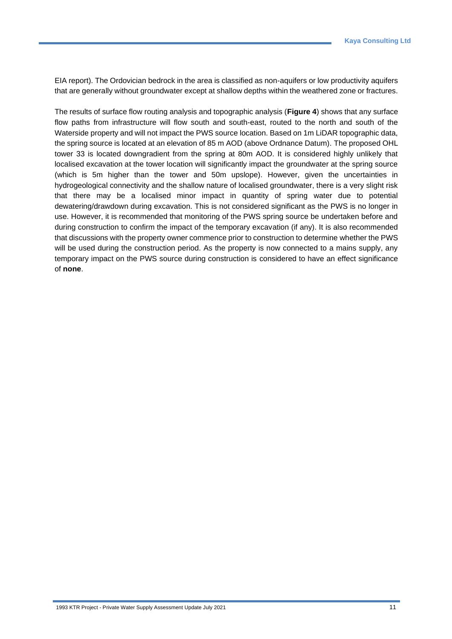EIA report). The Ordovician bedrock in the area is classified as non-aquifers or low productivity aquifers that are generally without groundwater except at shallow depths within the weathered zone or fractures.

The results of surface flow routing analysis and topographic analysis (**Figure 4**) shows that any surface flow paths from infrastructure will flow south and south-east, routed to the north and south of the Waterside property and will not impact the PWS source location. Based on 1m LiDAR topographic data, the spring source is located at an elevation of 85 m AOD (above Ordnance Datum). The proposed OHL tower 33 is located downgradient from the spring at 80m AOD. It is considered highly unlikely that localised excavation at the tower location will significantly impact the groundwater at the spring source (which is 5m higher than the tower and 50m upslope). However, given the uncertainties in hydrogeological connectivity and the shallow nature of localised groundwater, there is a very slight risk that there may be a localised minor impact in quantity of spring water due to potential dewatering/drawdown during excavation. This is not considered significant as the PWS is no longer in use. However, it is recommended that monitoring of the PWS spring source be undertaken before and during construction to confirm the impact of the temporary excavation (if any). It is also recommended that discussions with the property owner commence prior to construction to determine whether the PWS will be used during the construction period. As the property is now connected to a mains supply, any temporary impact on the PWS source during construction is considered to have an effect significance of **none**.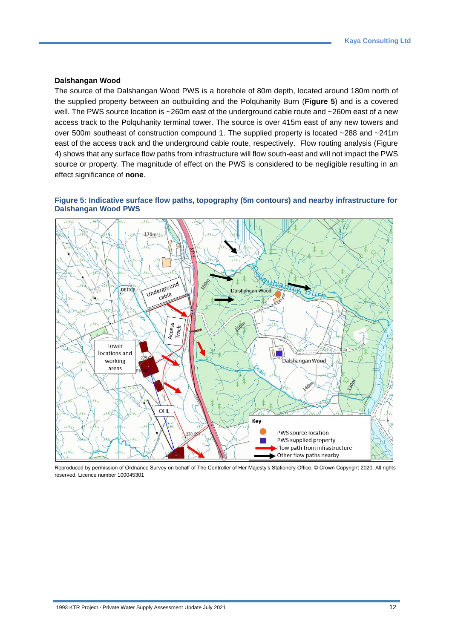#### **Dalshangan Wood**

The source of the Dalshangan Wood PWS is a borehole of 80m depth, located around 180m north of the supplied property between an outbuilding and the Polquhanity Burn (**Figure 5**) and is a covered well. The PWS source location is ~260m east of the underground cable route and ~260m east of a new access track to the Polquhanity terminal tower. The source is over 415m east of any new towers and over 500m southeast of construction compound 1. The supplied property is located ~288 and ~241m east of the access track and the underground cable route, respectively. Flow routing analysis (Figure 4) shows that any surface flow paths from infrastructure will flow south-east and will not impact the PWS source or property. The magnitude of effect on the PWS is considered to be negligible resulting in an effect significance of **none**.

#### <span id="page-14-0"></span>**Figure 5: Indicative surface flow paths, topography (5m contours) and nearby infrastructure for Dalshangan Wood PWS**



Reproduced by permission of Ordnance Survey on behalf of The Controller of Her Majesty's Stationery Office. © Crown Copyright 2020. All rights reserved. Licence number 100045301